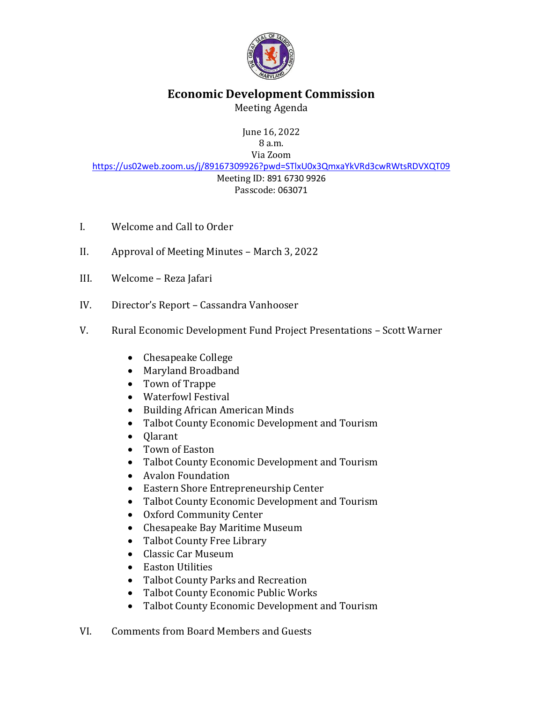

## **Economic Development Commission**

Meeting Agenda

June 16, 2022 8 a.m. Via Zoom

<https://us02web.zoom.us/j/89167309926?pwd=STlxU0x3QmxaYkVRd3cwRWtsRDVXQT09> Meeting ID: 891 6730 9926 Passcode: 063071

- I. Welcome and Call to Order
- II. Approval of Meeting Minutes March 3, 2022
- III. Welcome Reza Jafari
- IV. Director's Report Cassandra Vanhooser
- V. Rural Economic Development Fund Project Presentations Scott Warner
	- Chesapeake College
	- Maryland Broadband
	- Town of Trappe
	- Waterfowl Festival
	- Building African American Minds
	- Talbot County Economic Development and Tourism
	- Olarant
	- Town of Easton
	- Talbot County Economic Development and Tourism
	- Avalon Foundation
	- Eastern Shore Entrepreneurship Center
	- Talbot County Economic Development and Tourism
	- Oxford Community Center
	- Chesapeake Bay Maritime Museum
	- Talbot County Free Library
	- Classic Car Museum
	- Easton Utilities
	- Talbot County Parks and Recreation
	- Talbot County Economic Public Works
	- Talbot County Economic Development and Tourism
- VI. Comments from Board Members and Guests